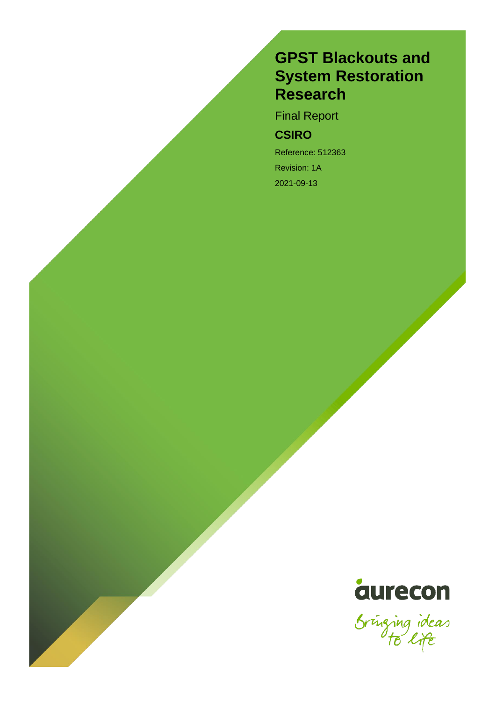# **GPST Blackouts and System Restoration Research**

Final Report

# **CSIRO**

Reference: 512363 Revision: 1A 2021-09-13



Sringing ideas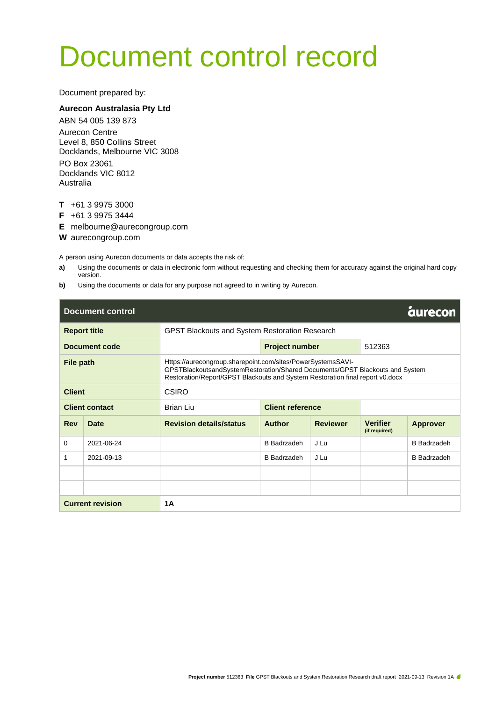# Document control record

Document prepared by:

#### **Aurecon Australasia Pty Ltd**

ABN 54 005 139 873 Aurecon Centre Level 8, 850 Collins Street Docklands, Melbourne VIC 3008 PO Box 23061 Docklands VIC 8012 Australia

- **T** +61 3 9975 3000
- **F** +61 3 9975 3444
- **E** melbourne@aurecongroup.com
- **W** aurecongroup.com

A person using Aurecon documents or data accepts the risk of:

- **a)** Using the documents or data in electronic form without requesting and checking them for accuracy against the original hard copy version.
- **b)** Using the documents or data for any purpose not agreed to in writing by Aurecon.

| <b>Document control</b> |             |                                                                                                                                                                                                                              |                         |                 |                                  | <b>aurecon</b>     |  |
|-------------------------|-------------|------------------------------------------------------------------------------------------------------------------------------------------------------------------------------------------------------------------------------|-------------------------|-----------------|----------------------------------|--------------------|--|
| <b>Report title</b>     |             | GPST Blackouts and System Restoration Research                                                                                                                                                                               |                         |                 |                                  |                    |  |
| <b>Document code</b>    |             |                                                                                                                                                                                                                              | <b>Project number</b>   |                 | 512363                           |                    |  |
| File path               |             | Https://aurecongroup.sharepoint.com/sites/PowerSystemsSAVI-<br>GPSTBlackoutsandSystemRestoration/Shared Documents/GPST Blackouts and System<br>Restoration/Report/GPST Blackouts and System Restoration final report v0.docx |                         |                 |                                  |                    |  |
| <b>Client</b>           |             | <b>CSIRO</b>                                                                                                                                                                                                                 |                         |                 |                                  |                    |  |
| <b>Client contact</b>   |             | Brian Liu                                                                                                                                                                                                                    | <b>Client reference</b> |                 |                                  |                    |  |
| <b>Rev</b>              | <b>Date</b> | <b>Revision details/status</b>                                                                                                                                                                                               | <b>Author</b>           | <b>Reviewer</b> | <b>Verifier</b><br>(if required) | <b>Approver</b>    |  |
| 0                       | 2021-06-24  |                                                                                                                                                                                                                              | <b>B</b> Badrzadeh      | J Lu            |                                  | <b>B</b> Badrzadeh |  |
| 1                       | 2021-09-13  |                                                                                                                                                                                                                              | <b>B</b> Badrzadeh      | J Lu            |                                  | <b>B</b> Badrzadeh |  |
|                         |             |                                                                                                                                                                                                                              |                         |                 |                                  |                    |  |
|                         |             |                                                                                                                                                                                                                              |                         |                 |                                  |                    |  |
| <b>Current revision</b> |             | <b>1A</b>                                                                                                                                                                                                                    |                         |                 |                                  |                    |  |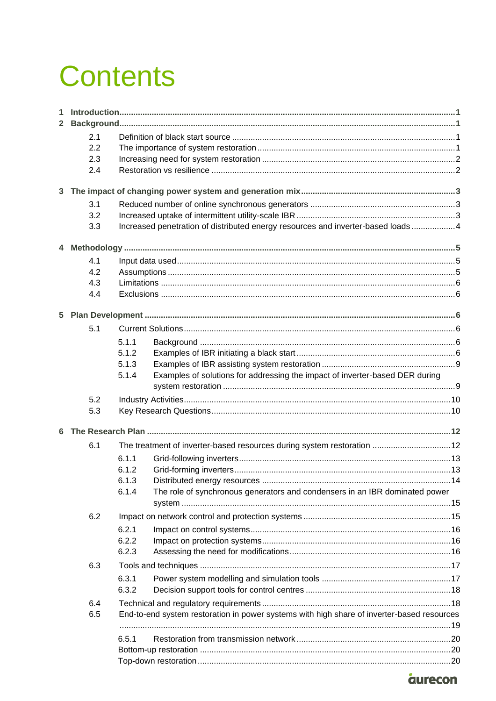# **Contents**

| 1.<br>$\mathbf{2}$ |     |                                                                                            |                                                                                 |  |  |  |
|--------------------|-----|--------------------------------------------------------------------------------------------|---------------------------------------------------------------------------------|--|--|--|
|                    | 2.1 |                                                                                            |                                                                                 |  |  |  |
|                    | 2.2 |                                                                                            |                                                                                 |  |  |  |
|                    | 2.3 |                                                                                            |                                                                                 |  |  |  |
|                    | 2.4 |                                                                                            |                                                                                 |  |  |  |
|                    |     |                                                                                            |                                                                                 |  |  |  |
| 3                  |     |                                                                                            |                                                                                 |  |  |  |
|                    | 3.1 |                                                                                            |                                                                                 |  |  |  |
|                    | 3.2 |                                                                                            |                                                                                 |  |  |  |
|                    | 3.3 |                                                                                            | Increased penetration of distributed energy resources and inverter-based loads4 |  |  |  |
|                    |     |                                                                                            |                                                                                 |  |  |  |
|                    | 4.1 |                                                                                            |                                                                                 |  |  |  |
|                    | 4.2 |                                                                                            |                                                                                 |  |  |  |
|                    | 4.3 |                                                                                            |                                                                                 |  |  |  |
|                    | 4.4 |                                                                                            |                                                                                 |  |  |  |
|                    |     |                                                                                            |                                                                                 |  |  |  |
|                    | 5.1 |                                                                                            |                                                                                 |  |  |  |
|                    |     | 5.1.1                                                                                      |                                                                                 |  |  |  |
|                    |     | 5.1.2                                                                                      |                                                                                 |  |  |  |
|                    |     | 5.1.3                                                                                      |                                                                                 |  |  |  |
|                    |     | 5.1.4                                                                                      | Examples of solutions for addressing the impact of inverter-based DER during    |  |  |  |
|                    | 5.2 |                                                                                            |                                                                                 |  |  |  |
|                    | 5.3 |                                                                                            |                                                                                 |  |  |  |
| 6                  |     |                                                                                            |                                                                                 |  |  |  |
|                    | 6.1 |                                                                                            | The treatment of inverter-based resources during system restoration  12         |  |  |  |
|                    |     | 6.1.1                                                                                      |                                                                                 |  |  |  |
|                    |     | 6.1.2                                                                                      |                                                                                 |  |  |  |
|                    |     | 6.1.3                                                                                      |                                                                                 |  |  |  |
|                    |     | 6.1.4                                                                                      | The role of synchronous generators and condensers in an IBR dominated power     |  |  |  |
|                    |     |                                                                                            |                                                                                 |  |  |  |
|                    | 6.2 |                                                                                            |                                                                                 |  |  |  |
|                    |     | 6.2.1                                                                                      |                                                                                 |  |  |  |
|                    |     | 6.2.2                                                                                      |                                                                                 |  |  |  |
|                    |     | 6.2.3                                                                                      |                                                                                 |  |  |  |
|                    | 6.3 |                                                                                            |                                                                                 |  |  |  |
|                    |     | 6.3.1                                                                                      |                                                                                 |  |  |  |
|                    |     | 6.3.2                                                                                      |                                                                                 |  |  |  |
|                    | 6.4 |                                                                                            |                                                                                 |  |  |  |
|                    | 6.5 | End-to-end system restoration in power systems with high share of inverter-based resources |                                                                                 |  |  |  |
|                    |     |                                                                                            |                                                                                 |  |  |  |
|                    |     | 6.5.1                                                                                      |                                                                                 |  |  |  |
|                    |     |                                                                                            |                                                                                 |  |  |  |
|                    |     |                                                                                            |                                                                                 |  |  |  |

# *aurecon*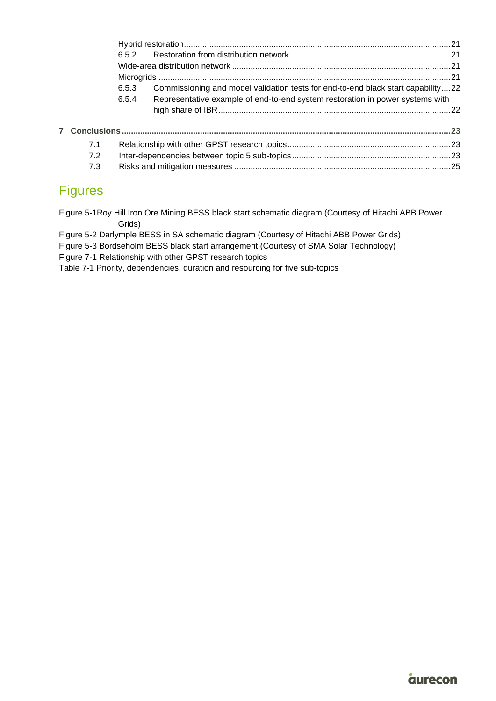|     | 6.5.3 | Commissioning and model validation tests for end-to-end black start capability22 |  |
|-----|-------|----------------------------------------------------------------------------------|--|
|     | 6.5.4 | Representative example of end-to-end system restoration in power systems with    |  |
|     |       |                                                                                  |  |
|     |       |                                                                                  |  |
| 7.1 |       |                                                                                  |  |
| 7.2 |       |                                                                                  |  |
| 7.3 |       |                                                                                  |  |

# Figures

[Figure 5-1Roy Hill Iron Ore Mining BESS black start schematic diagram \(Courtesy of Hitachi ABB Power](#page-10-0)  [Grids\)](#page-10-0)

[Figure 5-2 Darlymple BESS in SA schematic diagram \(Courtesy of Hitachi ABB Power Grids\)](#page-11-0)

[Figure 5-3 Bordseholm BESS black start arrangement \(Courtesy of SMA Solar Technology\)](#page-11-1)

[Figure 7-1 Relationship with other GPST research topics](#page-26-3)

[Table 7-1 Priority, dependencies, duration and resourcing for five sub-topics](#page-27-0)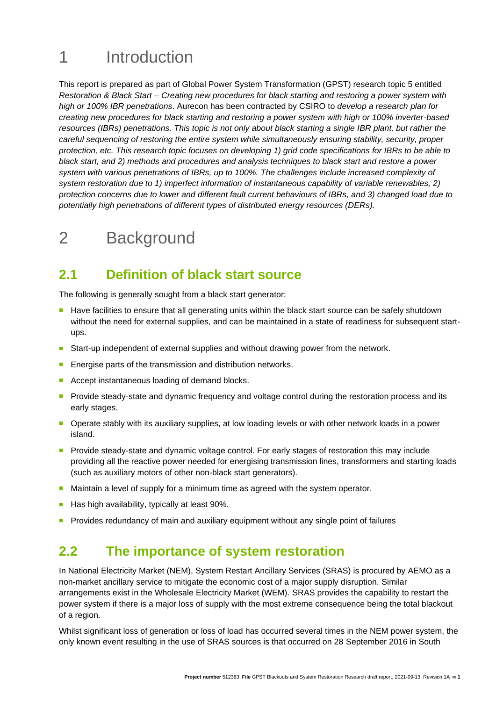# <span id="page-4-0"></span>1 Introduction

This report is prepared as part of Global Power System Transformation (GPST) research topic 5 entitled *Restoration & Black Start – Creating new procedures for black starting and restoring a power system with high or 100% IBR penetrations*. Aurecon has been contracted by CSIRO to *develop a research plan for creating new procedures for black starting and restoring a power system with high or 100% inverter-based resources (IBRs) penetrations. This topic is not only about black starting a single IBR plant, but rather the careful sequencing of restoring the entire system while simultaneously ensuring stability, security, proper protection, etc. This research topic focuses on developing 1) grid code specifications for IBRs to be able to black start, and 2) methods and procedures and analysis techniques to black start and restore a power system with various penetrations of IBRs, up to 100%. The challenges include increased complexity of system restoration due to 1) imperfect information of instantaneous capability of variable renewables, 2) protection concerns due to lower and different fault current behaviours of IBRs, and 3) changed load due to potentially high penetrations of different types of distributed energy resources (DERs).* 

# <span id="page-4-1"></span>2 Background

# <span id="page-4-2"></span>**2.1 Definition of black start source**

The following is generally sought from a black start generator:

- Have facilities to ensure that all generating units within the black start source can be safely shutdown without the need for external supplies, and can be maintained in a state of readiness for subsequent startups.
- Start-up independent of external supplies and without drawing power from the network.
- Energise parts of the transmission and distribution networks.
- Accept instantaneous loading of demand blocks.
- Provide steady-state and dynamic frequency and voltage control during the restoration process and its early stages.
- Operate stably with its auxiliary supplies, at low loading levels or with other network loads in a power island.
- Provide steady-state and dynamic voltage control. For early stages of restoration this may include providing all the reactive power needed for energising transmission lines, transformers and starting loads (such as auxiliary motors of other non-black start generators).
- Maintain a level of supply for a minimum time as agreed with the system operator.
- Has high availability, typically at least 90%.
- <sup>◼</sup> Provides redundancy of main and auxiliary equipment without any single point of failures

### <span id="page-4-3"></span>**2.2 The importance of system restoration**

In National Electricity Market (NEM), System Restart Ancillary Services (SRAS) is procured by AEMO as a non-market ancillary service to mitigate the economic cost of a major supply disruption. Similar arrangements exist in the Wholesale Electricity Market (WEM). SRAS provides the capability to restart the power system if there is a major loss of supply with the most extreme consequence being the total blackout of a region.

Whilst significant loss of generation or loss of load has occurred several times in the NEM power system, the only known event resulting in the use of SRAS sources is that occurred on 28 September 2016 in South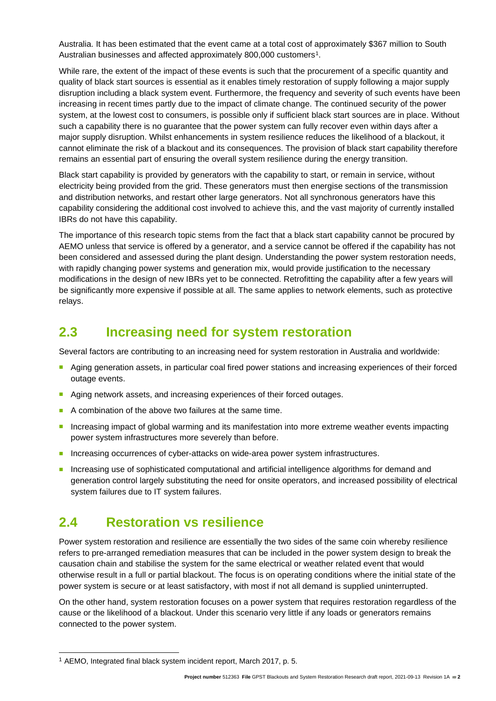Australia. It has been estimated that the event came at a total cost of approximately \$367 million to South Australian businesses and affected approximately 800,000 customers<sup>1</sup>.

While rare, the extent of the impact of these events is such that the procurement of a specific quantity and quality of black start sources is essential as it enables timely restoration of supply following a major supply disruption including a black system event. Furthermore, the frequency and severity of such events have been increasing in recent times partly due to the impact of climate change. The continued security of the power system, at the lowest cost to consumers, is possible only if sufficient black start sources are in place. Without such a capability there is no guarantee that the power system can fully recover even within days after a major supply disruption. Whilst enhancements in system resilience reduces the likelihood of a blackout, it cannot eliminate the risk of a blackout and its consequences. The provision of black start capability therefore remains an essential part of ensuring the overall system resilience during the energy transition.

Black start capability is provided by generators with the capability to start, or remain in service, without electricity being provided from the grid. These generators must then energise sections of the transmission and distribution networks, and restart other large generators. Not all synchronous generators have this capability considering the additional cost involved to achieve this, and the vast majority of currently installed IBRs do not have this capability.

The importance of this research topic stems from the fact that a black start capability cannot be procured by AEMO unless that service is offered by a generator, and a service cannot be offered if the capability has not been considered and assessed during the plant design. Understanding the power system restoration needs, with rapidly changing power systems and generation mix, would provide justification to the necessary modifications in the design of new IBRs yet to be connected. Retrofitting the capability after a few years will be significantly more expensive if possible at all. The same applies to network elements, such as protective relays.

# <span id="page-5-0"></span>**2.3 Increasing need for system restoration**

Several factors are contributing to an increasing need for system restoration in Australia and worldwide:

- Aging generation assets, in particular coal fired power stations and increasing experiences of their forced outage events.
- Aging network assets, and increasing experiences of their forced outages.
- A combination of the above two failures at the same time.
- Increasing impact of global warming and its manifestation into more extreme weather events impacting power system infrastructures more severely than before.
- Increasing occurrences of cyber-attacks on wide-area power system infrastructures.
- Increasing use of sophisticated computational and artificial intelligence algorithms for demand and generation control largely substituting the need for onsite operators, and increased possibility of electrical system failures due to IT system failures.

### <span id="page-5-1"></span>**2.4 Restoration vs resilience**

Power system restoration and resilience are essentially the two sides of the same coin whereby resilience refers to pre-arranged remediation measures that can be included in the power system design to break the causation chain and stabilise the system for the same electrical or weather related event that would otherwise result in a full or partial blackout. The focus is on operating conditions where the initial state of the power system is secure or at least satisfactory, with most if not all demand is supplied uninterrupted.

On the other hand, system restoration focuses on a power system that requires restoration regardless of the cause or the likelihood of a blackout. Under this scenario very little if any loads or generators remains connected to the power system.

<sup>1</sup> AEMO, Integrated final black system incident report, March 2017, p. 5.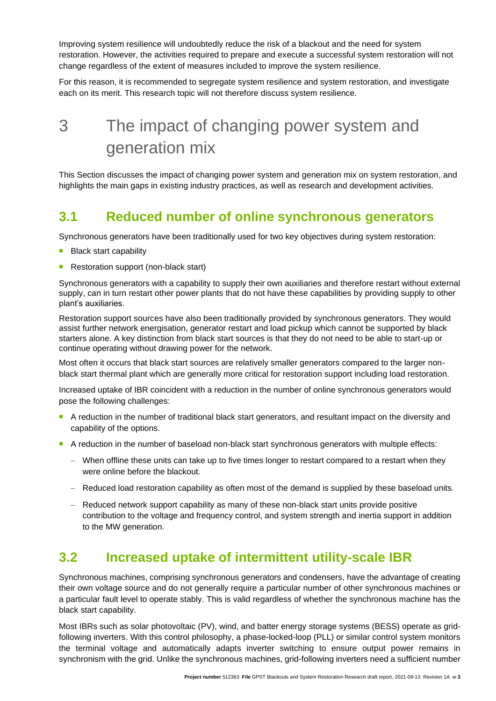Improving system resilience will undoubtedly reduce the risk of a blackout and the need for system restoration. However, the activities required to prepare and execute a successful system restoration will not change regardless of the extent of measures included to improve the system resilience.

For this reason, it is recommended to segregate system resilience and system restoration, and investigate each on its merit. This research topic will not therefore discuss system resilience.

# <span id="page-6-0"></span>3 The impact of changing power system and generation mix

This Section discusses the impact of changing power system and generation mix on system restoration, and highlights the main gaps in existing industry practices, as well as research and development activities.

# <span id="page-6-1"></span>**3.1 Reduced number of online synchronous generators**

Synchronous generators have been traditionally used for two key objectives during system restoration:

- **Black start capability**
- Restoration support (non-black start)

Synchronous generators with a capability to supply their own auxiliaries and therefore restart without external supply, can in turn restart other power plants that do not have these capabilities by providing supply to other plant's auxiliaries.

Restoration support sources have also been traditionally provided by synchronous generators. They would assist further network energisation, generator restart and load pickup which cannot be supported by black starters alone. A key distinction from black start sources is that they do not need to be able to start-up or continue operating without drawing power for the network.

Most often it occurs that black start sources are relatively smaller generators compared to the larger nonblack start thermal plant which are generally more critical for restoration support including load restoration.

Increased uptake of IBR coincident with a reduction in the number of online synchronous generators would pose the following challenges:

- A reduction in the number of traditional black start generators, and resultant impact on the diversity and capability of the options.
- A reduction in the number of baseload non-black start synchronous generators with multiple effects:
	- − When offline these units can take up to five times longer to restart compared to a restart when they were online before the blackout.
	- − Reduced load restoration capability as often most of the demand is supplied by these baseload units.
	- − Reduced network support capability as many of these non-black start units provide positive contribution to the voltage and frequency control, and system strength and inertia support in addition to the MW generation.

# <span id="page-6-2"></span>**3.2 Increased uptake of intermittent utility-scale IBR**

Synchronous machines, comprising synchronous generators and condensers, have the advantage of creating their own voltage source and do not generally require a particular number of other synchronous machines or a particular fault level to operate stably. This is valid regardless of whether the synchronous machine has the black start capability.

Most IBRs such as solar photovoltaic (PV), wind, and batter energy storage systems (BESS) operate as gridfollowing inverters. With this control philosophy, a phase-locked-loop (PLL) or similar control system monitors the terminal voltage and automatically adapts inverter switching to ensure output power remains in synchronism with the grid. Unlike the synchronous machines, grid-following inverters need a sufficient number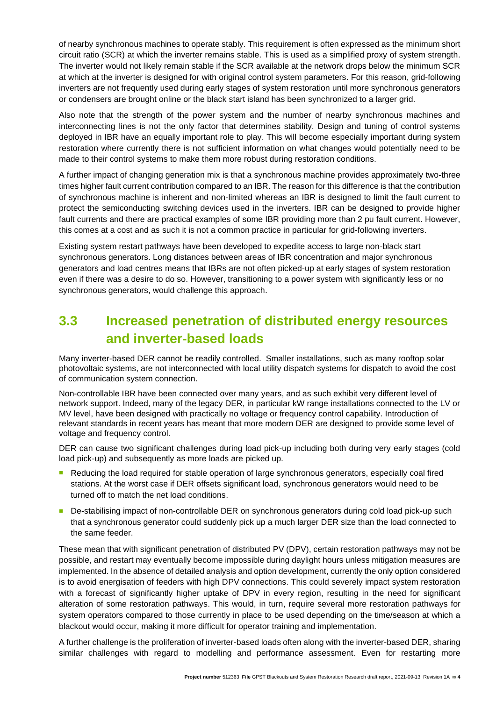of nearby synchronous machines to operate stably. This requirement is often expressed as the minimum short circuit ratio (SCR) at which the inverter remains stable. This is used as a simplified proxy of system strength. The inverter would not likely remain stable if the SCR available at the network drops below the minimum SCR at which at the inverter is designed for with original control system parameters. For this reason, grid-following inverters are not frequently used during early stages of system restoration until more synchronous generators or condensers are brought online or the black start island has been synchronized to a larger grid.

Also note that the strength of the power system and the number of nearby synchronous machines and interconnecting lines is not the only factor that determines stability. Design and tuning of control systems deployed in IBR have an equally important role to play. This will become especially important during system restoration where currently there is not sufficient information on what changes would potentially need to be made to their control systems to make them more robust during restoration conditions.

A further impact of changing generation mix is that a synchronous machine provides approximately two-three times higher fault current contribution compared to an IBR. The reason for this difference is that the contribution of synchronous machine is inherent and non-limited whereas an IBR is designed to limit the fault current to protect the semiconducting switching devices used in the inverters. IBR can be designed to provide higher fault currents and there are practical examples of some IBR providing more than 2 pu fault current. However, this comes at a cost and as such it is not a common practice in particular for grid-following inverters.

Existing system restart pathways have been developed to expedite access to large non-black start synchronous generators. Long distances between areas of IBR concentration and major synchronous generators and load centres means that IBRs are not often picked-up at early stages of system restoration even if there was a desire to do so. However, transitioning to a power system with significantly less or no synchronous generators, would challenge this approach.

# <span id="page-7-0"></span>**3.3 Increased penetration of distributed energy resources and inverter-based loads**

Many inverter-based DER cannot be readily controlled. Smaller installations, such as many rooftop solar photovoltaic systems, are not interconnected with local utility dispatch systems for dispatch to avoid the cost of communication system connection.

Non-controllable IBR have been connected over many years, and as such exhibit very different level of network support. Indeed, many of the legacy DER, in particular kW range installations connected to the LV or MV level, have been designed with practically no voltage or frequency control capability. Introduction of relevant standards in recent years has meant that more modern DER are designed to provide some level of voltage and frequency control.

DER can cause two significant challenges during load pick-up including both during very early stages (cold load pick-up) and subsequently as more loads are picked up.

- Reducing the load required for stable operation of large synchronous generators, especially coal fired stations. At the worst case if DER offsets significant load, synchronous generators would need to be turned off to match the net load conditions.
- De-stabilising impact of non-controllable DER on synchronous generators during cold load pick-up such that a synchronous generator could suddenly pick up a much larger DER size than the load connected to the same feeder.

These mean that with significant penetration of distributed PV (DPV), certain restoration pathways may not be possible, and restart may eventually become impossible during daylight hours unless mitigation measures are implemented. In the absence of detailed analysis and option development, currently the only option considered is to avoid energisation of feeders with high DPV connections. This could severely impact system restoration with a forecast of significantly higher uptake of DPV in every region, resulting in the need for significant alteration of some restoration pathways. This would, in turn, require several more restoration pathways for system operators compared to those currently in place to be used depending on the time/season at which a blackout would occur, making it more difficult for operator training and implementation.

A further challenge is the proliferation of inverter-based loads often along with the inverter-based DER, sharing similar challenges with regard to modelling and performance assessment. Even for restarting more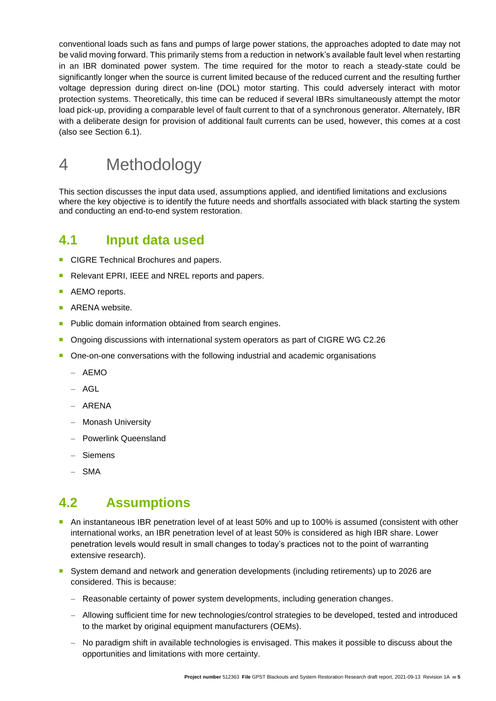conventional loads such as fans and pumps of large power stations, the approaches adopted to date may not be valid moving forward. This primarily stems from a reduction in network's available fault level when restarting in an IBR dominated power system. The time required for the motor to reach a steady-state could be significantly longer when the source is current limited because of the reduced current and the resulting further voltage depression during direct on-line (DOL) motor starting. This could adversely interact with motor protection systems. Theoretically, this time can be reduced if several IBRs simultaneously attempt the motor load pick-up, providing a comparable level of fault current to that of a synchronous generator. Alternately, IBR with a deliberate design for provision of additional fault currents can be used, however, this comes at a cost (also see Section 6.1).

# <span id="page-8-0"></span>4 Methodology

This section discusses the input data used, assumptions applied, and identified limitations and exclusions where the key objective is to identify the future needs and shortfalls associated with black starting the system and conducting an end-to-end system restoration.

### <span id="page-8-1"></span>**4.1 Input data used**

- CIGRE Technical Brochures and papers.
- Relevant EPRI, IEEE and NREL reports and papers.
- AEMO reports.
- ARENA website.
- Public domain information obtained from search engines.
- Ongoing discussions with international system operators as part of CIGRE WG C2.26
- One-on-one conversations with the following industrial and academic organisations
	- − AEMO
	- − AGL
	- − ARENA
	- − Monash University
	- − Powerlink Queensland
	- − Siemens
	- − SMA

### <span id="page-8-2"></span>**4.2 Assumptions**

- An instantaneous IBR penetration level of at least 50% and up to 100% is assumed (consistent with other international works, an IBR penetration level of at least 50% is considered as high IBR share. Lower penetration levels would result in small changes to today's practices not to the point of warranting extensive research).
- System demand and network and generation developments (including retirements) up to 2026 are considered. This is because:
	- − Reasonable certainty of power system developments, including generation changes.
	- − Allowing sufficient time for new technologies/control strategies to be developed, tested and introduced to the market by original equipment manufacturers (OEMs).
	- − No paradigm shift in available technologies is envisaged. This makes it possible to discuss about the opportunities and limitations with more certainty.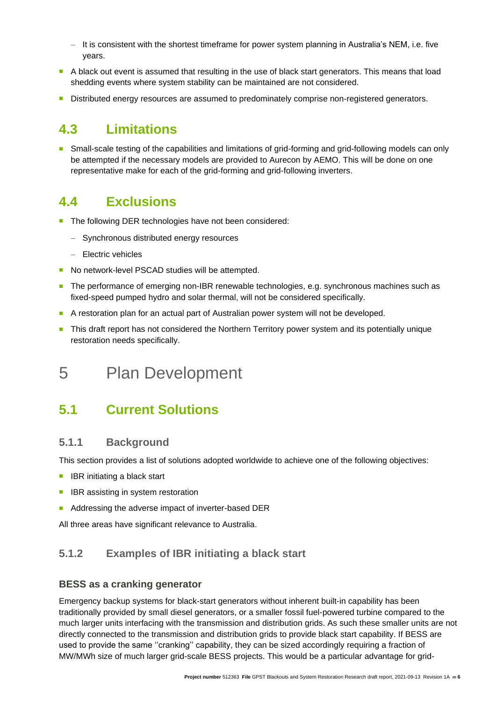- − It is consistent with the shortest timeframe for power system planning in Australia's NEM, i.e. five years.
- A black out event is assumed that resulting in the use of black start generators. This means that load shedding events where system stability can be maintained are not considered.
- Distributed energy resources are assumed to predominately comprise non-registered generators.

### <span id="page-9-0"></span>**4.3 Limitations**

Small-scale testing of the capabilities and limitations of grid-forming and grid-following models can only be attempted if the necessary models are provided to Aurecon by AEMO. This will be done on one representative make for each of the grid-forming and grid-following inverters.

# <span id="page-9-1"></span>**4.4 Exclusions**

- The following DER technologies have not been considered:
	- − Synchronous distributed energy resources
	- − Electric vehicles
- No network-level PSCAD studies will be attempted.
- The performance of emerging non-IBR renewable technologies, e.g. synchronous machines such as fixed-speed pumped hydro and solar thermal, will not be considered specifically.
- A restoration plan for an actual part of Australian power system will not be developed.
- This draft report has not considered the Northern Territory power system and its potentially unique restoration needs specifically.

# <span id="page-9-2"></span>5 Plan Development

# <span id="page-9-3"></span>**5.1 Current Solutions**

#### <span id="page-9-4"></span>**5.1.1 Background**

This section provides a list of solutions adopted worldwide to achieve one of the following objectives:

- IBR initiating a black start
- IBR assisting in system restoration
- Addressing the adverse impact of inverter-based DER

All three areas have significant relevance to Australia.

#### <span id="page-9-5"></span>**5.1.2 Examples of IBR initiating a black start**

#### **BESS as a cranking generator**

Emergency backup systems for black-start generators without inherent built-in capability has been traditionally provided by small diesel generators, or a smaller fossil fuel-powered turbine compared to the much larger units interfacing with the transmission and distribution grids. As such these smaller units are not directly connected to the transmission and distribution grids to provide black start capability. If BESS are used to provide the same ''cranking'' capability, they can be sized accordingly requiring a fraction of MW/MWh size of much larger grid-scale BESS projects. This would be a particular advantage for grid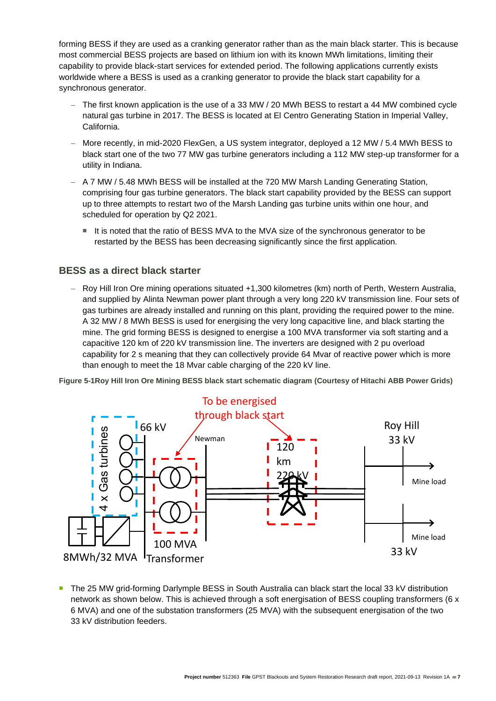forming BESS if they are used as a cranking generator rather than as the main black starter. This is because most commercial BESS projects are based on lithium ion with its known MWh limitations, limiting their capability to provide black-start services for extended period. The following applications currently exists worldwide where a BESS is used as a cranking generator to provide the black start capability for a synchronous generator.

- − The first known application is the use of a 33 MW / 20 MWh BESS to restart a 44 MW combined cycle natural gas turbine in 2017. The BESS is located at El Centro Generating Station in Imperial Valley, California.
- − More recently, in mid-2020 FlexGen, a US system integrator, deployed a 12 MW / 5.4 MWh BESS to black start one of the two 77 MW gas turbine generators including a 112 MW step-up transformer for a utility in Indiana.
- − A 7 MW / 5.48 MWh BESS will be installed at the 720 MW Marsh Landing Generating Station, comprising four gas turbine generators. The black start capability provided by the BESS can support up to three attempts to restart two of the Marsh Landing gas turbine units within one hour, and scheduled for operation by Q2 2021.
	- It is noted that the ratio of BESS MVA to the MVA size of the synchronous generator to be restarted by the BESS has been decreasing significantly since the first application.

#### **BESS as a direct black starter**

− Roy Hill Iron Ore mining operations situated +1,300 kilometres (km) north of Perth, Western Australia, and supplied by Alinta Newman power plant through a very long 220 kV transmission line. Four sets of gas turbines are already installed and running on this plant, providing the required power to the mine. A 32 MW / 8 MWh BESS is used for energising the very long capacitive line, and black starting the mine. The grid forming BESS is designed to energise a 100 MVA transformer via soft starting and a capacitive 120 km of 220 kV transmission line. The inverters are designed with 2 pu overload capability for 2 s meaning that they can collectively provide 64 Mvar of reactive power which is more than enough to meet the 18 Mvar cable charging of the 220 kV line.

<span id="page-10-0"></span>**Figure 5-1Roy Hill Iron Ore Mining BESS black start schematic diagram (Courtesy of Hitachi ABB Power Grids)**



■ The 25 MW grid-forming Darlymple BESS in South Australia can black start the local 33 kV distribution network as shown below. This is achieved through a soft energisation of BESS coupling transformers (6 x 6 MVA) and one of the substation transformers (25 MVA) with the subsequent energisation of the two 33 kV distribution feeders.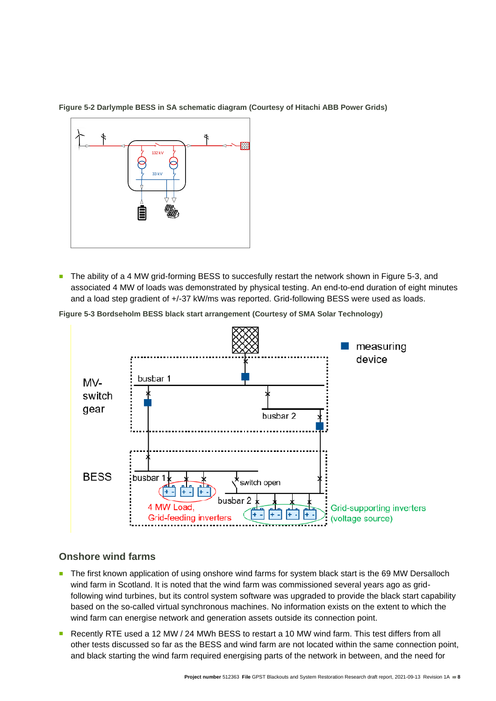

<span id="page-11-0"></span>**Figure 5-2 Darlymple BESS in SA schematic diagram (Courtesy of Hitachi ABB Power Grids)**

■ The ability of a 4 MW grid-forming BESS to succesfully restart the network shown in Figure 5-3, and associated 4 MW of loads was demonstrated by physical testing. An end-to-end duration of eight minutes and a load step gradient of +/-37 kW/ms was reported. Grid-following BESS were used as loads.

<span id="page-11-1"></span>



#### **Onshore wind farms**

- The first known application of using onshore wind farms for system black start is the 69 MW Dersalloch wind farm in Scotland. It is noted that the wind farm was commissioned several years ago as gridfollowing wind turbines, but its control system software was upgraded to provide the black start capability based on the so-called virtual synchronous machines. No information exists on the extent to which the wind farm can energise network and generation assets outside its connection point.
- Recently RTE used a 12 MW / 24 MWh BESS to restart a 10 MW wind farm. This test differs from all other tests discussed so far as the BESS and wind farm are not located within the same connection point,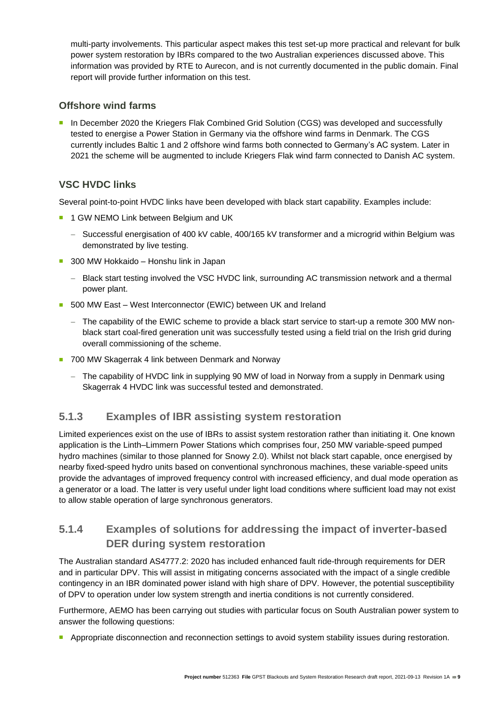multi-party involvements. This particular aspect makes this test set-up more practical and relevant for bulk power system restoration by IBRs compared to the two Australian experiences discussed above. This information was provided by RTE to Aurecon, and is not currently documented in the public domain. Final report will provide further information on this test.

#### **Offshore wind farms**

In December 2020 the Kriegers Flak Combined Grid Solution (CGS) was developed and successfully tested to energise a Power Station in Germany via the offshore wind farms in Denmark. The CGS currently includes Baltic 1 and 2 offshore wind farms both connected to Germany's AC system. Later in 2021 the scheme will be augmented to include Kriegers Flak wind farm connected to Danish AC system.

#### **VSC HVDC links**

Several point-to-point HVDC links have been developed with black start capability. Examples include:

- 1 GW NEMO Link between Belgium and UK
	- − Successful energisation of 400 kV cable, 400/165 kV transformer and a microgrid within Belgium was demonstrated by live testing.
- 300 MW Hokkaido Honshu link in Japan
	- − Black start testing involved the VSC HVDC link, surrounding AC transmission network and a thermal power plant.
- 500 MW East West Interconnector (EWIC) between UK and Ireland
	- − The capability of the EWIC scheme to provide a black start service to start-up a remote 300 MW nonblack start coal-fired generation unit was successfully tested using a field trial on the Irish grid during overall commissioning of the scheme.
- 700 MW Skagerrak 4 link between Denmark and Norway
	- − The capability of HVDC link in supplying 90 MW of load in Norway from a supply in Denmark using Skagerrak 4 HVDC link was successful tested and demonstrated.

#### <span id="page-12-0"></span>**5.1.3 Examples of IBR assisting system restoration**

Limited experiences exist on the use of IBRs to assist system restoration rather than initiating it. One known application is the Linth–Limmern Power Stations which comprises four, 250 MW variable-speed pumped hydro machines (similar to those planned for Snowy 2.0). Whilst not black start capable, once energised by nearby fixed-speed hydro units based on conventional synchronous machines, these variable-speed units provide the advantages of improved frequency control with increased efficiency, and dual mode operation as a generator or a load. The latter is very useful under light load conditions where sufficient load may not exist to allow stable operation of large synchronous generators.

#### <span id="page-12-1"></span>**5.1.4 Examples of solutions for addressing the impact of inverter-based DER during system restoration**

The Australian standard AS4777.2: 2020 has included enhanced fault ride-through requirements for DER and in particular DPV. This will assist in mitigating concerns associated with the impact of a single credible contingency in an IBR dominated power island with high share of DPV. However, the potential susceptibility of DPV to operation under low system strength and inertia conditions is not currently considered.

Furthermore, AEMO has been carrying out studies with particular focus on South Australian power system to answer the following questions:

Appropriate disconnection and reconnection settings to avoid system stability issues during restoration.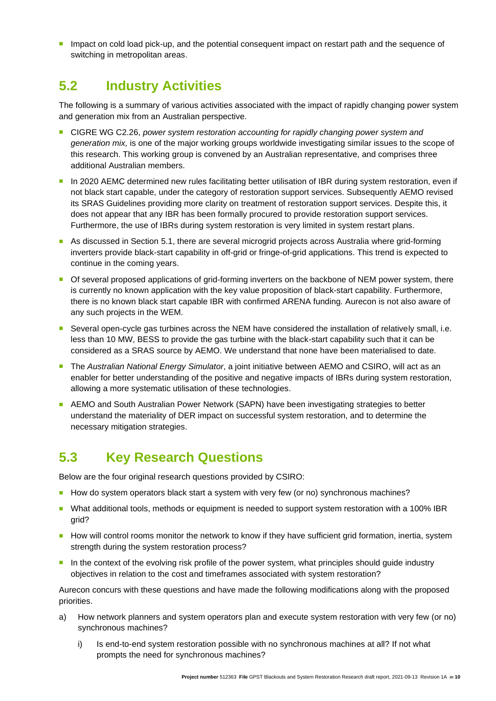■ Impact on cold load pick-up, and the potential consequent impact on restart path and the sequence of switching in metropolitan areas.

### <span id="page-13-0"></span>**5.2 Industry Activities**

The following is a summary of various activities associated with the impact of rapidly changing power system and generation mix from an Australian perspective.

- <sup>◼</sup> CIGRE WG C2.26, *power system restoration accounting for rapidly changing power system and generation mix,* is one of the major working groups worldwide investigating similar issues to the scope of this research. This working group is convened by an Australian representative, and comprises three additional Australian members.
- In 2020 AEMC determined new rules facilitating better utilisation of IBR during system restoration, even if not black start capable, under the category of restoration support services. Subsequently AEMO revised its SRAS Guidelines providing more clarity on treatment of restoration support services. Despite this, it does not appear that any IBR has been formally procured to provide restoration support services. Furthermore, the use of IBRs during system restoration is very limited in system restart plans.
- As discussed in Section 5.1, there are several microgrid projects across Australia where grid-forming inverters provide black-start capability in off-grid or fringe-of-grid applications. This trend is expected to continue in the coming years.
- Of several proposed applications of grid-forming inverters on the backbone of NEM power system, there is currently no known application with the key value proposition of black-start capability. Furthermore, there is no known black start capable IBR with confirmed ARENA funding. Aurecon is not also aware of any such projects in the WEM.
- Several open-cycle gas turbines across the NEM have considered the installation of relatively small, i.e. less than 10 MW, BESS to provide the gas turbine with the black-start capability such that it can be considered as a SRAS source by AEMO. We understand that none have been materialised to date.
- The *Australian National Energy Simulator*, a joint initiative between AEMO and CSIRO, will act as an enabler for better understanding of the positive and negative impacts of IBRs during system restoration, allowing a more systematic utilisation of these technologies.
- AEMO and South Australian Power Network (SAPN) have been investigating strategies to better understand the materiality of DER impact on successful system restoration, and to determine the necessary mitigation strategies.

# <span id="page-13-1"></span>**5.3 Key Research Questions**

Below are the four original research questions provided by CSIRO:

- How do system operators black start a system with very few (or no) synchronous machines?
- What additional tools, methods or equipment is needed to support system restoration with a 100% IBR grid?
- How will control rooms monitor the network to know if they have sufficient grid formation, inertia, system strength during the system restoration process?
- In the context of the evolving risk profile of the power system, what principles should quide industry objectives in relation to the cost and timeframes associated with system restoration?

Aurecon concurs with these questions and have made the following modifications along with the proposed priorities.

- a) How network planners and system operators plan and execute system restoration with very few (or no) synchronous machines?
	- i) Is end-to-end system restoration possible with no synchronous machines at all? If not what prompts the need for synchronous machines?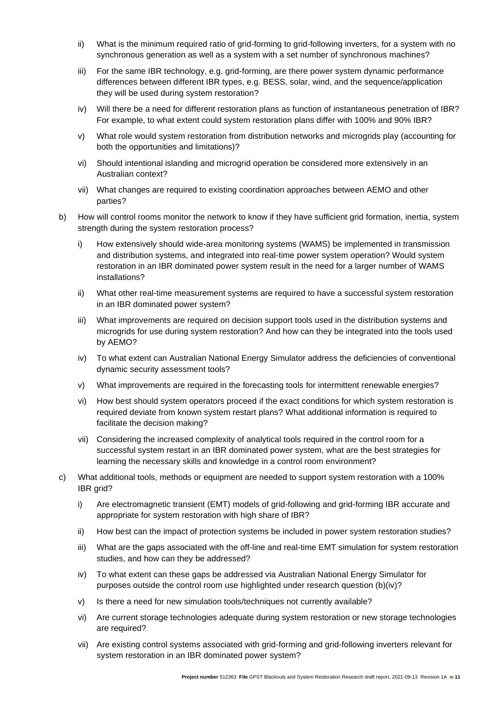- ii) What is the minimum required ratio of grid-forming to grid-following inverters, for a system with no synchronous generation as well as a system with a set number of synchronous machines?
- iii) For the same IBR technology, e.g. grid-forming, are there power system dynamic performance differences between different IBR types, e.g. BESS, solar, wind, and the sequence/application they will be used during system restoration?
- iv) Will there be a need for different restoration plans as function of instantaneous penetration of IBR? For example, to what extent could system restoration plans differ with 100% and 90% IBR?
- v) What role would system restoration from distribution networks and microgrids play (accounting for both the opportunities and limitations)?
- vi) Should intentional islanding and microgrid operation be considered more extensively in an Australian context?
- vii) What changes are required to existing coordination approaches between AEMO and other parties?
- b) How will control rooms monitor the network to know if they have sufficient grid formation, inertia, system strength during the system restoration process?
	- i) How extensively should wide-area monitoring systems (WAMS) be implemented in transmission and distribution systems, and integrated into real-time power system operation? Would system restoration in an IBR dominated power system result in the need for a larger number of WAMS installations?
	- ii) What other real-time measurement systems are required to have a successful system restoration in an IBR dominated power system?
	- iii) What improvements are required on decision support tools used in the distribution systems and microgrids for use during system restoration? And how can they be integrated into the tools used by AEMO?
	- iv) To what extent can Australian National Energy Simulator address the deficiencies of conventional dynamic security assessment tools?
	- v) What improvements are required in the forecasting tools for intermittent renewable energies?
	- vi) How best should system operators proceed if the exact conditions for which system restoration is required deviate from known system restart plans? What additional information is required to facilitate the decision making?
	- vii) Considering the increased complexity of analytical tools required in the control room for a successful system restart in an IBR dominated power system, what are the best strategies for learning the necessary skills and knowledge in a control room environment?
- c) What additional tools, methods or equipment are needed to support system restoration with a 100% IBR grid?
	- i) Are electromagnetic transient (EMT) models of grid-following and grid-forming IBR accurate and appropriate for system restoration with high share of IBR?
	- ii) How best can the impact of protection systems be included in power system restoration studies?
	- iii) What are the gaps associated with the off-line and real-time EMT simulation for system restoration studies, and how can they be addressed?
	- iv) To what extent can these gaps be addressed via Australian National Energy Simulator for purposes outside the control room use highlighted under research question (b)(iv)?
	- v) Is there a need for new simulation tools/techniques not currently available?
	- vi) Are current storage technologies adequate during system restoration or new storage technologies are required?
	- vii) Are existing control systems associated with grid-forming and grid-following inverters relevant for system restoration in an IBR dominated power system?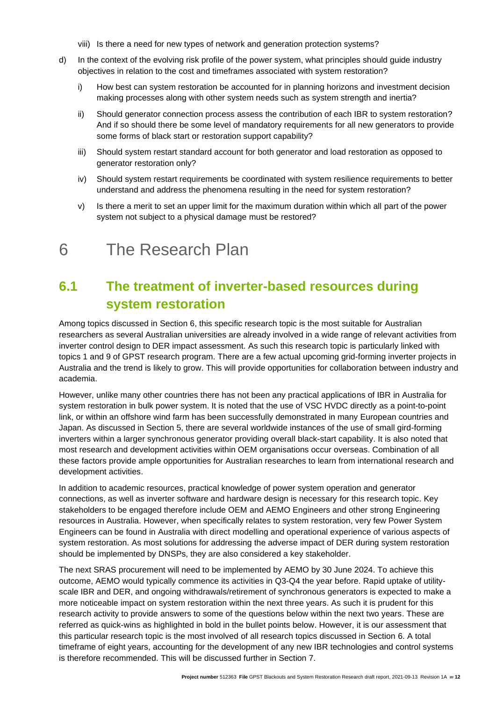- viii) Is there a need for new types of network and generation protection systems?
- d) In the context of the evolving risk profile of the power system, what principles should guide industry objectives in relation to the cost and timeframes associated with system restoration?
	- i) How best can system restoration be accounted for in planning horizons and investment decision making processes along with other system needs such as system strength and inertia?
	- ii) Should generator connection process assess the contribution of each IBR to system restoration? And if so should there be some level of mandatory requirements for all new generators to provide some forms of black start or restoration support capability?
	- iii) Should system restart standard account for both generator and load restoration as opposed to generator restoration only?
	- iv) Should system restart requirements be coordinated with system resilience requirements to better understand and address the phenomena resulting in the need for system restoration?
	- v) Is there a merit to set an upper limit for the maximum duration within which all part of the power system not subject to a physical damage must be restored?

# <span id="page-15-0"></span>6 The Research Plan

# <span id="page-15-1"></span>**6.1 The treatment of inverter-based resources during system restoration**

Among topics discussed in Section 6, this specific research topic is the most suitable for Australian researchers as several Australian universities are already involved in a wide range of relevant activities from inverter control design to DER impact assessment. As such this research topic is particularly linked with topics 1 and 9 of GPST research program. There are a few actual upcoming grid-forming inverter projects in Australia and the trend is likely to grow. This will provide opportunities for collaboration between industry and academia.

However, unlike many other countries there has not been any practical applications of IBR in Australia for system restoration in bulk power system. It is noted that the use of VSC HVDC directly as a point-to-point link, or within an offshore wind farm has been successfully demonstrated in many European countries and Japan. As discussed in Section 5, there are several worldwide instances of the use of small gird-forming inverters within a larger synchronous generator providing overall black-start capability. It is also noted that most research and development activities within OEM organisations occur overseas. Combination of all these factors provide ample opportunities for Australian researches to learn from international research and development activities.

In addition to academic resources, practical knowledge of power system operation and generator connections, as well as inverter software and hardware design is necessary for this research topic. Key stakeholders to be engaged therefore include OEM and AEMO Engineers and other strong Engineering resources in Australia. However, when specifically relates to system restoration, very few Power System Engineers can be found in Australia with direct modelling and operational experience of various aspects of system restoration. As most solutions for addressing the adverse impact of DER during system restoration should be implemented by DNSPs, they are also considered a key stakeholder.

The next SRAS procurement will need to be implemented by AEMO by 30 June 2024. To achieve this outcome, AEMO would typically commence its activities in Q3-Q4 the year before. Rapid uptake of utilityscale IBR and DER, and ongoing withdrawals/retirement of synchronous generators is expected to make a more noticeable impact on system restoration within the next three years. As such it is prudent for this research activity to provide answers to some of the questions below within the next two years. These are referred as quick-wins as highlighted in bold in the bullet points below. However, it is our assessment that this particular research topic is the most involved of all research topics discussed in Section 6. A total timeframe of eight years, accounting for the development of any new IBR technologies and control systems is therefore recommended. This will be discussed further in Section 7.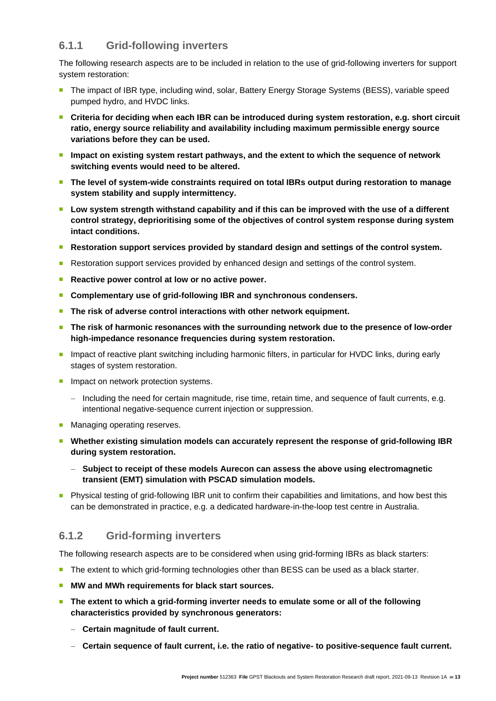#### <span id="page-16-0"></span>**6.1.1 Grid-following inverters**

The following research aspects are to be included in relation to the use of grid-following inverters for support system restoration:

- The impact of IBR type, including wind, solar, Battery Energy Storage Systems (BESS), variable speed pumped hydro, and HVDC links.
- Criteria for deciding when each IBR can be introduced during system restoration, e.g. short circuit **ratio, energy source reliability and availability including maximum permissible energy source variations before they can be used.**
- Impact on existing system restart pathways, and the extent to which the sequence of network **switching events would need to be altered.**
- The level of system-wide constraints required on total IBRs output during restoration to manage **system stability and supply intermittency.**
- Low system strength withstand capability and if this can be improved with the use of a different **control strategy, deprioritising some of the objectives of control system response during system intact conditions.**
- Restoration support services provided by standard design and settings of the control system.
- Restoration support services provided by enhanced design and settings of the control system.
- Reactive power control at low or no active power.
- Complementary use of grid-following IBR and synchronous condensers.
- The risk of adverse control interactions with other network equipment.
- The risk of harmonic resonances with the surrounding network due to the presence of low-order **high-impedance resonance frequencies during system restoration.**
- Impact of reactive plant switching including harmonic filters, in particular for HVDC links, during early stages of system restoration.
- Impact on network protection systems.
	- − Including the need for certain magnitude, rise time, retain time, and sequence of fault currents, e.g. intentional negative-sequence current injection or suppression.
- Managing operating reserves.
- Whether existing simulation models can accurately represent the response of grid-following IBR **during system restoration.**
	- − **Subject to receipt of these models Aurecon can assess the above using electromagnetic transient (EMT) simulation with PSCAD simulation models.**
- Physical testing of grid-following IBR unit to confirm their capabilities and limitations, and how best this can be demonstrated in practice, e.g. a dedicated hardware-in-the-loop test centre in Australia.

#### <span id="page-16-1"></span>**6.1.2 Grid-forming inverters**

The following research aspects are to be considered when using grid-forming IBRs as black starters:

- The extent to which grid-forming technologies other than BESS can be used as a black starter.
- <sup>◼</sup> **MW and MWh requirements for black start sources.**
- <sup>◼</sup> **The extent to which a grid-forming inverter needs to emulate some or all of the following characteristics provided by synchronous generators:**
	- − **Certain magnitude of fault current.**
	- − **Certain sequence of fault current, i.e. the ratio of negative- to positive-sequence fault current.**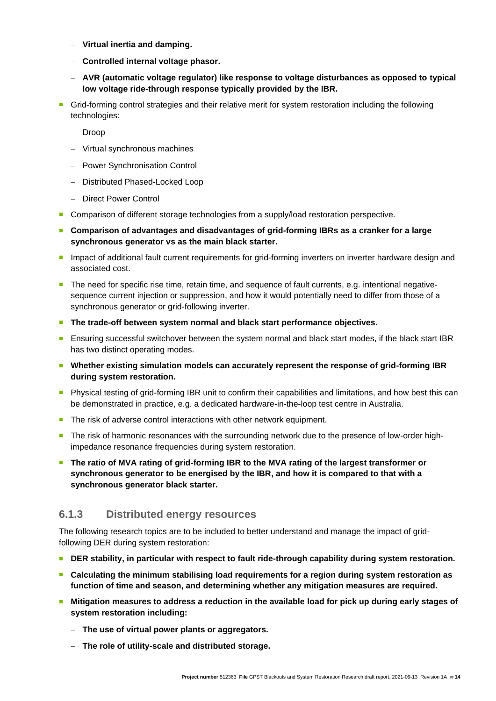- − **Virtual inertia and damping.**
- − **Controlled internal voltage phasor.**
- − **AVR (automatic voltage regulator) like response to voltage disturbances as opposed to typical low voltage ride-through response typically provided by the IBR.**
- Grid-forming control strategies and their relative merit for system restoration including the following technologies:
	- − Droop
	- − Virtual synchronous machines
	- − Power Synchronisation Control
	- − Distributed Phased-Locked Loop
	- − Direct Power Control
- Comparison of different storage technologies from a supply/load restoration perspective.
- Comparison of advantages and disadvantages of grid-forming IBRs as a cranker for a large **synchronous generator vs as the main black starter.**
- Impact of additional fault current requirements for grid-forming inverters on inverter hardware design and associated cost.
- The need for specific rise time, retain time, and sequence of fault currents, e.g. intentional negativesequence current injection or suppression, and how it would potentially need to differ from those of a synchronous generator or grid-following inverter.
- The trade-off between system normal and black start performance objectives.
- Ensuring successful switchover between the system normal and black start modes, if the black start IBR has two distinct operating modes.
- Whether existing simulation models can accurately represent the response of grid-forming IBR **during system restoration.**
- Physical testing of grid-forming IBR unit to confirm their capabilities and limitations, and how best this can be demonstrated in practice, e.g. a dedicated hardware-in-the-loop test centre in Australia.
- The risk of adverse control interactions with other network equipment.
- The risk of harmonic resonances with the surrounding network due to the presence of low-order highimpedance resonance frequencies during system restoration.
- The ratio of MVA rating of grid-forming IBR to the MVA rating of the largest transformer or **synchronous generator to be energised by the IBR, and how it is compared to that with a synchronous generator black starter.**

#### <span id="page-17-0"></span>**6.1.3 Distributed energy resources**

The following research topics are to be included to better understand and manage the impact of gridfollowing DER during system restoration:

- **DER stability, in particular with respect to fault ride-through capability during system restoration.**
- Calculating the minimum stabilising load requirements for a region during system restoration as **function of time and season, and determining whether any mitigation measures are required.**
- Mitigation measures to address a reduction in the available load for pick up during early stages of **system restoration including:**
	- − **The use of virtual power plants or aggregators.**
	- − **The role of utility-scale and distributed storage.**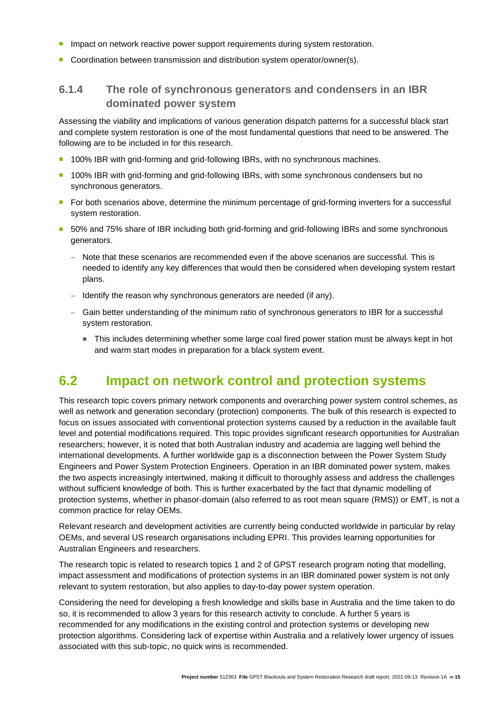- **■** Impact on network reactive power support requirements during system restoration.
- Coordination between transmission and distribution system operator/owner(s).

#### <span id="page-18-0"></span>**6.1.4 The role of synchronous generators and condensers in an IBR dominated power system**

Assessing the viability and implications of various generation dispatch patterns for a successful black start and complete system restoration is one of the most fundamental questions that need to be answered. The following are to be included in for this research.

- 100% IBR with grid-forming and grid-following IBRs, with no synchronous machines.
- 100% IBR with grid-forming and grid-following IBRs, with some synchronous condensers but no synchronous generators.
- For both scenarios above, determine the minimum percentage of grid-forming inverters for a successful system restoration.
- 50% and 75% share of IBR including both grid-forming and grid-following IBRs and some synchronous generators.
	- − Note that these scenarios are recommended even if the above scenarios are successful. This is needed to identify any key differences that would then be considered when developing system restart plans.
	- − Identify the reason why synchronous generators are needed (if any).
	- − Gain better understanding of the minimum ratio of synchronous generators to IBR for a successful system restoration.
		- This includes determining whether some large coal fired power station must be always kept in hot and warm start modes in preparation for a black system event.

### <span id="page-18-1"></span>**6.2 Impact on network control and protection systems**

This research topic covers primary network components and overarching power system control schemes, as well as network and generation secondary (protection) components. The bulk of this research is expected to focus on issues associated with conventional protection systems caused by a reduction in the available fault level and potential modifications required. This topic provides significant research opportunities for Australian researchers; however, it is noted that both Australian industry and academia are lagging well behind the international developments. A further worldwide gap is a disconnection between the Power System Study Engineers and Power System Protection Engineers. Operation in an IBR dominated power system, makes the two aspects increasingly intertwined, making it difficult to thoroughly assess and address the challenges without sufficient knowledge of both. This is further exacerbated by the fact that dynamic modelling of protection systems, whether in phasor-domain (also referred to as root mean square (RMS)) or EMT, is not a common practice for relay OEMs.

Relevant research and development activities are currently being conducted worldwide in particular by relay OEMs, and several US research organisations including EPRI. This provides learning opportunities for Australian Engineers and researchers.

The research topic is related to research topics 1 and 2 of GPST research program noting that modelling, impact assessment and modifications of protection systems in an IBR dominated power system is not only relevant to system restoration, but also applies to day-to-day power system operation.

Considering the need for developing a fresh knowledge and skills base in Australia and the time taken to do so, it is recommended to allow 3 years for this research activity to conclude. A further 5 years is recommended for any modifications in the existing control and protection systems or developing new protection algorithms. Considering lack of expertise within Australia and a relatively lower urgency of issues associated with this sub-topic, no quick wins is recommended.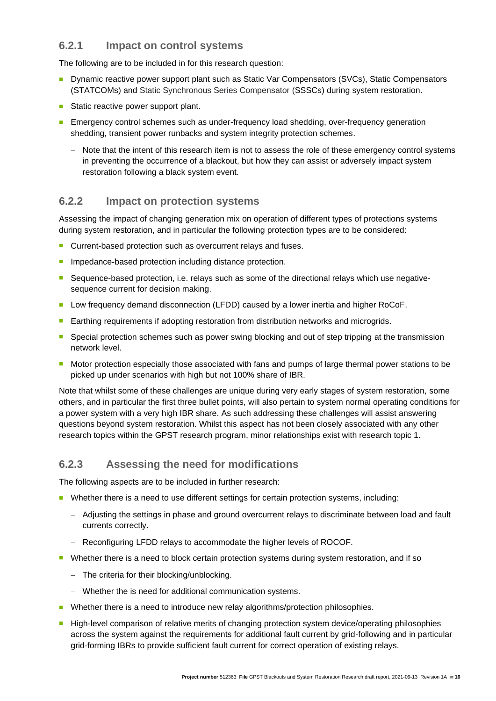#### <span id="page-19-0"></span>**6.2.1 Impact on control systems**

The following are to be included in for this research question:

- Dynamic reactive power support plant such as Static Var Compensators (SVCs), Static Compensators (STATCOMs) and Static Synchronous Series Compensator (SSSCs) during system restoration.
- Static reactive power support plant.
- Emergency control schemes such as under-frequency load shedding, over-frequency generation shedding, transient power runbacks and system integrity protection schemes.
	- − Note that the intent of this research item is not to assess the role of these emergency control systems in preventing the occurrence of a blackout, but how they can assist or adversely impact system restoration following a black system event.

#### <span id="page-19-1"></span>**6.2.2 Impact on protection systems**

Assessing the impact of changing generation mix on operation of different types of protections systems during system restoration, and in particular the following protection types are to be considered:

- Current-based protection such as overcurrent relays and fuses.
- Impedance-based protection including distance protection.
- Sequence-based protection, i.e. relays such as some of the directional relays which use negativesequence current for decision making.
- Low frequency demand disconnection (LFDD) caused by a lower inertia and higher RoCoF.
- Earthing requirements if adopting restoration from distribution networks and microgrids.
- Special protection schemes such as power swing blocking and out of step tripping at the transmission network level.
- Motor protection especially those associated with fans and pumps of large thermal power stations to be picked up under scenarios with high but not 100% share of IBR.

Note that whilst some of these challenges are unique during very early stages of system restoration, some others, and in particular the first three bullet points, will also pertain to system normal operating conditions for a power system with a very high IBR share. As such addressing these challenges will assist answering questions beyond system restoration. Whilst this aspect has not been closely associated with any other research topics within the GPST research program, minor relationships exist with research topic 1.

#### <span id="page-19-2"></span>**6.2.3 Assessing the need for modifications**

The following aspects are to be included in further research:

- Whether there is a need to use different settings for certain protection systems, including:
	- − Adjusting the settings in phase and ground overcurrent relays to discriminate between load and fault currents correctly.
	- − Reconfiguring LFDD relays to accommodate the higher levels of ROCOF.
- Whether there is a need to block certain protection systems during system restoration, and if so
	- − The criteria for their blocking/unblocking.
	- − Whether the is need for additional communication systems.
- Whether there is a need to introduce new relay algorithms/protection philosophies.
- High-level comparison of relative merits of changing protection system device/operating philosophies across the system against the requirements for additional fault current by grid-following and in particular grid-forming IBRs to provide sufficient fault current for correct operation of existing relays.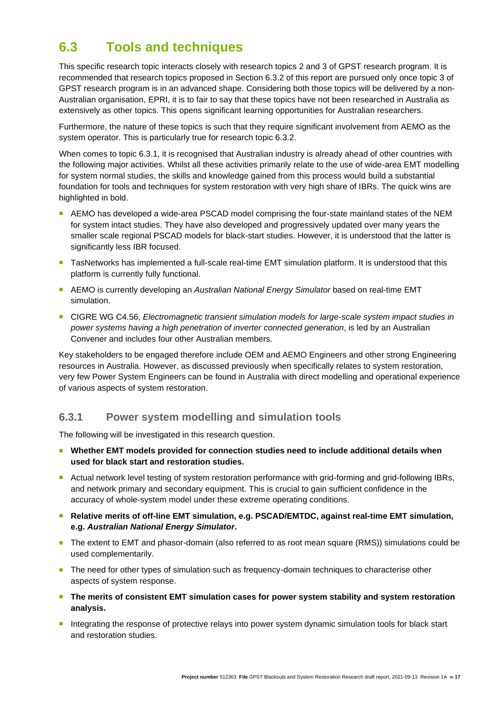# <span id="page-20-0"></span>**6.3 Tools and techniques**

This specific research topic interacts closely with research topics 2 and 3 of GPST research program. It is recommended that research topics proposed in Section 6.3.2 of this report are pursued only once topic 3 of GPST research program is in an advanced shape. Considering both those topics will be delivered by a non-Australian organisation, EPRI, it is to fair to say that these topics have not been researched in Australia as extensively as other topics. This opens significant learning opportunities for Australian researchers.

Furthermore, the nature of these topics is such that they require significant involvement from AEMO as the system operator. This is particularly true for research topic 6.3.2.

When comes to topic 6.3.1, it is recognised that Australian industry is already ahead of other countries with the following major activities. Whilst all these activities primarily relate to the use of wide-area EMT modelling for system normal studies, the skills and knowledge gained from this process would build a substantial foundation for tools and techniques for system restoration with very high share of IBRs. The quick wins are highlighted in bold.

- AEMO has developed a wide-area PSCAD model comprising the four-state mainland states of the NEM for system intact studies. They have also developed and progressively updated over many years the smaller scale regional PSCAD models for black-start studies. However, it is understood that the latter is significantly less IBR focused.
- TasNetworks has implemented a full-scale real-time EMT simulation platform. It is understood that this platform is currently fully functional.
- AEMO is currently developing an *Australian National Energy Simulator* based on real-time EMT simulation.
- CIGRE WG C4.56, *Electromagnetic transient simulation models for large-scale system impact studies in power systems having a high penetration of inverter connected generation*, is led by an Australian Convener and includes four other Australian members.

Key stakeholders to be engaged therefore include OEM and AEMO Engineers and other strong Engineering resources in Australia. However, as discussed previously when specifically relates to system restoration, very few Power System Engineers can be found in Australia with direct modelling and operational experience of various aspects of system restoration.

#### <span id="page-20-1"></span>**6.3.1 Power system modelling and simulation tools**

The following will be investigated in this research question.

- Whether EMT models provided for connection studies need to include additional details when **used for black start and restoration studies.**
- Actual network level testing of system restoration performance with grid-forming and grid-following IBRs, and network primary and secondary equipment. This is crucial to gain sufficient confidence in the accuracy of whole-system model under these extreme operating conditions.
- Relative merits of off-line EMT simulation, e.g. PSCAD/EMTDC, against real-time EMT simulation, **e.g.** *Australian National Energy Simulator***.**
- The extent to EMT and phasor-domain (also referred to as root mean square (RMS)) simulations could be used complementarily.
- The need for other types of simulation such as frequency-domain techniques to characterise other aspects of system response.
- The merits of consistent EMT simulation cases for power system stability and system restoration **analysis.**
- Integrating the response of protective relays into power system dynamic simulation tools for black start and restoration studies.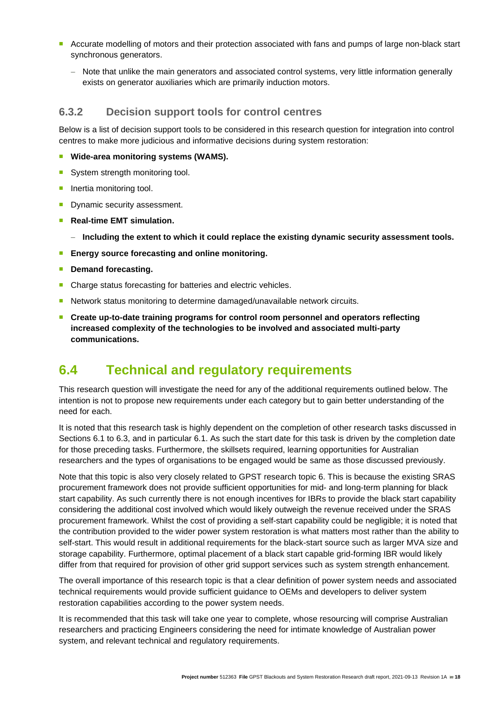- Accurate modelling of motors and their protection associated with fans and pumps of large non-black start synchronous generators.
	- − Note that unlike the main generators and associated control systems, very little information generally exists on generator auxiliaries which are primarily induction motors.

#### <span id="page-21-0"></span>**6.3.2 Decision support tools for control centres**

Below is a list of decision support tools to be considered in this research question for integration into control centres to make more judicious and informative decisions during system restoration:

#### ■ Wide-area monitoring systems (WAMS).

- System strength monitoring tool.
- Inertia monitoring tool.
- Dynamic security assessment.
- **Real-time EMT simulation.** 
	- − **Including the extent to which it could replace the existing dynamic security assessment tools.**
- **Energy source forecasting and online monitoring.**
- **Demand forecasting.**
- Charge status forecasting for batteries and electric vehicles.
- Network status monitoring to determine damaged/unavailable network circuits.
- Create up-to-date training programs for control room personnel and operators reflecting **increased complexity of the technologies to be involved and associated multi-party communications.**

### <span id="page-21-1"></span>**6.4 Technical and regulatory requirements**

This research question will investigate the need for any of the additional requirements outlined below. The intention is not to propose new requirements under each category but to gain better understanding of the need for each.

It is noted that this research task is highly dependent on the completion of other research tasks discussed in Sections 6.1 to 6.3, and in particular 6.1. As such the start date for this task is driven by the completion date for those preceding tasks. Furthermore, the skillsets required, learning opportunities for Australian researchers and the types of organisations to be engaged would be same as those discussed previously.

Note that this topic is also very closely related to GPST research topic 6. This is because the existing SRAS procurement framework does not provide sufficient opportunities for mid- and long-term planning for black start capability. As such currently there is not enough incentives for IBRs to provide the black start capability considering the additional cost involved which would likely outweigh the revenue received under the SRAS procurement framework. Whilst the cost of providing a self-start capability could be negligible; it is noted that the contribution provided to the wider power system restoration is what matters most rather than the ability to self-start. This would result in additional requirements for the black-start source such as larger MVA size and storage capability. Furthermore, optimal placement of a black start capable grid-forming IBR would likely differ from that required for provision of other grid support services such as system strength enhancement.

The overall importance of this research topic is that a clear definition of power system needs and associated technical requirements would provide sufficient guidance to OEMs and developers to deliver system restoration capabilities according to the power system needs.

It is recommended that this task will take one year to complete, whose resourcing will comprise Australian researchers and practicing Engineers considering the need for intimate knowledge of Australian power system, and relevant technical and regulatory requirements.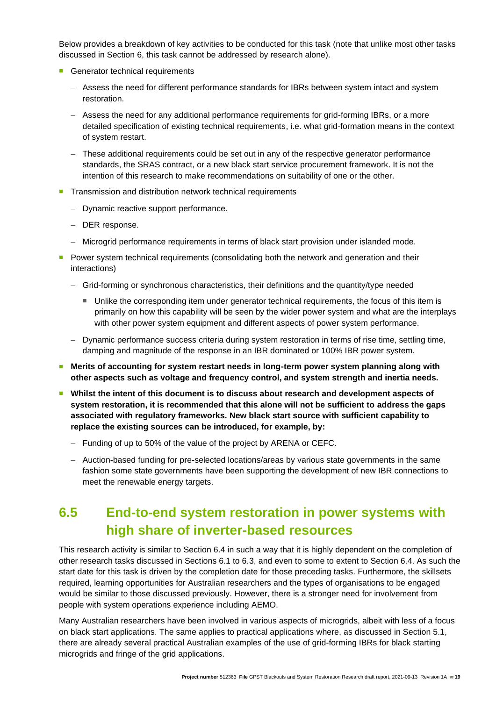Below provides a breakdown of key activities to be conducted for this task (note that unlike most other tasks discussed in Section 6, this task cannot be addressed by research alone).

- Generator technical requirements
	- − Assess the need for different performance standards for IBRs between system intact and system restoration.
	- − Assess the need for any additional performance requirements for grid-forming IBRs, or a more detailed specification of existing technical requirements, i.e. what grid-formation means in the context of system restart.
	- − These additional requirements could be set out in any of the respective generator performance standards, the SRAS contract, or a new black start service procurement framework. It is not the intention of this research to make recommendations on suitability of one or the other.
- Transmission and distribution network technical requirements
	- − Dynamic reactive support performance.
	- − DER response.
	- − Microgrid performance requirements in terms of black start provision under islanded mode.
- Power system technical requirements (consolidating both the network and generation and their interactions)
	- − Grid-forming or synchronous characteristics, their definitions and the quantity/type needed
		- Unlike the corresponding item under generator technical requirements, the focus of this item is primarily on how this capability will be seen by the wider power system and what are the interplays with other power system equipment and different aspects of power system performance.
	- − Dynamic performance success criteria during system restoration in terms of rise time, settling time, damping and magnitude of the response in an IBR dominated or 100% IBR power system.
- Merits of accounting for system restart needs in long-term power system planning along with **other aspects such as voltage and frequency control, and system strength and inertia needs.**
- Whilst the intent of this document is to discuss about research and development aspects of **system restoration, it is recommended that this alone will not be sufficient to address the gaps associated with regulatory frameworks. New black start source with sufficient capability to replace the existing sources can be introduced, for example, by:**
	- − Funding of up to 50% of the value of the project by ARENA or CEFC.
	- − Auction-based funding for pre-selected locations/areas by various state governments in the same fashion some state governments have been supporting the development of new IBR connections to meet the renewable energy targets.

# <span id="page-22-0"></span>**6.5 End-to-end system restoration in power systems with high share of inverter-based resources**

This research activity is similar to Section 6.4 in such a way that it is highly dependent on the completion of other research tasks discussed in Sections 6.1 to 6.3, and even to some to extent to Section 6.4. As such the start date for this task is driven by the completion date for those preceding tasks. Furthermore, the skillsets required, learning opportunities for Australian researchers and the types of organisations to be engaged would be similar to those discussed previously. However, there is a stronger need for involvement from people with system operations experience including AEMO.

Many Australian researchers have been involved in various aspects of microgrids, albeit with less of a focus on black start applications. The same applies to practical applications where, as discussed in Section 5.1, there are already several practical Australian examples of the use of grid-forming IBRs for black starting microgrids and fringe of the grid applications.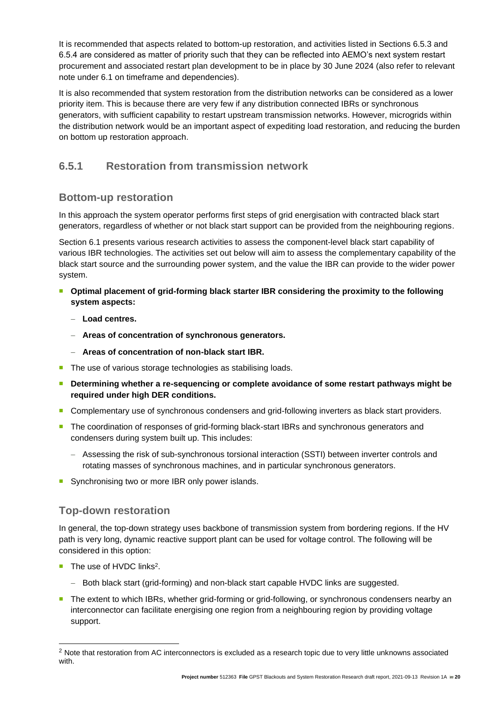It is recommended that aspects related to bottom-up restoration, and activities listed in Sections 6.5.3 and 6.5.4 are considered as matter of priority such that they can be reflected into AEMO's next system restart procurement and associated restart plan development to be in place by 30 June 2024 (also refer to relevant note under 6.1 on timeframe and dependencies).

It is also recommended that system restoration from the distribution networks can be considered as a lower priority item. This is because there are very few if any distribution connected IBRs or synchronous generators, with sufficient capability to restart upstream transmission networks. However, microgrids within the distribution network would be an important aspect of expediting load restoration, and reducing the burden on bottom up restoration approach.

#### <span id="page-23-0"></span>**6.5.1 Restoration from transmission network**

#### <span id="page-23-1"></span>**Bottom-up restoration**

In this approach the system operator performs first steps of grid energisation with contracted black start generators, regardless of whether or not black start support can be provided from the neighbouring regions.

Section 6.1 presents various research activities to assess the component-level black start capability of various IBR technologies. The activities set out below will aim to assess the complementary capability of the black start source and the surrounding power system, and the value the IBR can provide to the wider power system.

- Optimal placement of grid-forming black starter IBR considering the proximity to the following **system aspects:**
	- − **Load centres.**
	- − **Areas of concentration of synchronous generators.**
	- − **Areas of concentration of non-black start IBR.**
- The use of various storage technologies as stabilising loads.
- Determining whether a re-sequencing or complete avoidance of some restart pathways might be **required under high DER conditions.**
- Complementary use of synchronous condensers and grid-following inverters as black start providers.
- The coordination of responses of grid-forming black-start IBRs and synchronous generators and condensers during system built up. This includes:
	- − Assessing the risk of sub-synchronous torsional interaction (SSTI) between inverter controls and rotating masses of synchronous machines, and in particular synchronous generators.
- Synchronising two or more IBR only power islands.

#### <span id="page-23-2"></span>**Top-down restoration**

In general, the top-down strategy uses backbone of transmission system from bordering regions. If the HV path is very long, dynamic reactive support plant can be used for voltage control. The following will be considered in this option:

- The use of HVDC links<sup>2</sup>.
	- − Both black start (grid-forming) and non-black start capable HVDC links are suggested.
- The extent to which IBRs, whether grid-forming or grid-following, or synchronous condensers nearby an interconnector can facilitate energising one region from a neighbouring region by providing voltage support.

<sup>&</sup>lt;sup>2</sup> Note that restoration from AC interconnectors is excluded as a research topic due to very little unknowns associated with.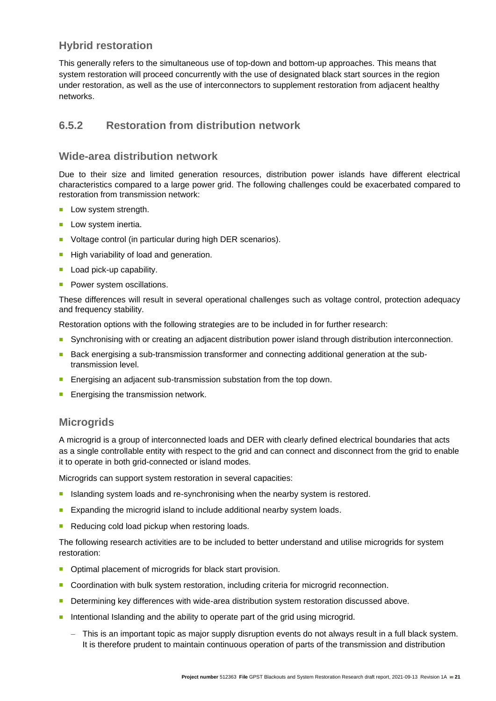#### <span id="page-24-0"></span>**Hybrid restoration**

This generally refers to the simultaneous use of top-down and bottom-up approaches. This means that system restoration will proceed concurrently with the use of designated black start sources in the region under restoration, as well as the use of interconnectors to supplement restoration from adjacent healthy networks.

#### <span id="page-24-1"></span>**6.5.2 Restoration from distribution network**

#### <span id="page-24-2"></span>**Wide-area distribution network**

Due to their size and limited generation resources, distribution power islands have different electrical characteristics compared to a large power grid. The following challenges could be exacerbated compared to restoration from transmission network:

- Low system strength.
- Low system inertia.
- Voltage control (in particular during high DER scenarios).
- High variability of load and generation.
- Load pick-up capability.
- Power system oscillations.

These differences will result in several operational challenges such as voltage control, protection adequacy and frequency stability.

Restoration options with the following strategies are to be included in for further research:

- Synchronising with or creating an adjacent distribution power island through distribution interconnection.
- Back energising a sub-transmission transformer and connecting additional generation at the subtransmission level.
- Energising an adjacent sub-transmission substation from the top down.
- Energising the transmission network.

#### <span id="page-24-3"></span>**Microgrids**

A microgrid is a group of interconnected loads and DER with clearly defined electrical boundaries that acts as a single controllable entity with respect to the grid and can connect and disconnect from the grid to enable it to operate in both grid-connected or island modes.

Microgrids can support system restoration in several capacities:

- Islanding system loads and re-synchronising when the nearby system is restored.
- Expanding the microgrid island to include additional nearby system loads.
- Reducing cold load pickup when restoring loads.

The following research activities are to be included to better understand and utilise microgrids for system restoration:

- Optimal placement of microgrids for black start provision.
- Coordination with bulk system restoration, including criteria for microgrid reconnection.
- Determining key differences with wide-area distribution system restoration discussed above.
- Intentional Islanding and the ability to operate part of the grid using microgrid.
	- − This is an important topic as major supply disruption events do not always result in a full black system. It is therefore prudent to maintain continuous operation of parts of the transmission and distribution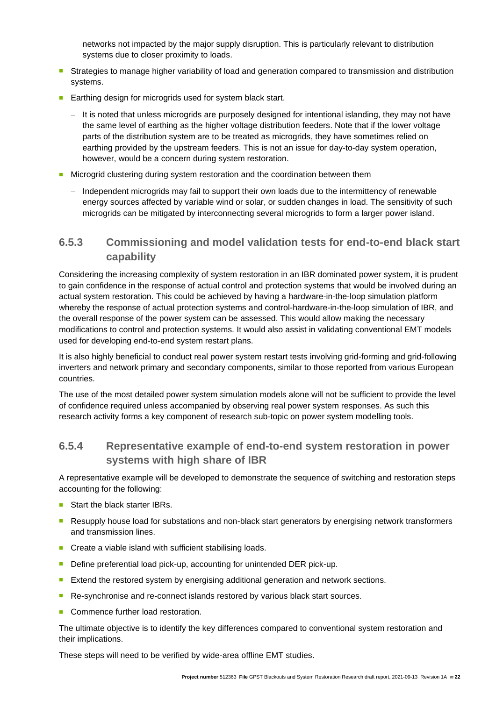networks not impacted by the major supply disruption. This is particularly relevant to distribution systems due to closer proximity to loads.

- Strategies to manage higher variability of load and generation compared to transmission and distribution systems.
- Earthing design for microgrids used for system black start.
	- − It is noted that unless microgrids are purposely designed for intentional islanding, they may not have the same level of earthing as the higher voltage distribution feeders. Note that if the lower voltage parts of the distribution system are to be treated as microgrids, they have sometimes relied on earthing provided by the upstream feeders. This is not an issue for day-to-day system operation, however, would be a concern during system restoration.
- Microgrid clustering during system restoration and the coordination between them
	- − Independent microgrids may fail to support their own loads due to the intermittency of renewable energy sources affected by variable wind or solar, or sudden changes in load. The sensitivity of such microgrids can be mitigated by interconnecting several microgrids to form a larger power island.

#### <span id="page-25-0"></span>**6.5.3 Commissioning and model validation tests for end-to-end black start capability**

Considering the increasing complexity of system restoration in an IBR dominated power system, it is prudent to gain confidence in the response of actual control and protection systems that would be involved during an actual system restoration. This could be achieved by having a hardware-in-the-loop simulation platform whereby the response of actual protection systems and control-hardware-in-the-loop simulation of IBR, and the overall response of the power system can be assessed. This would allow making the necessary modifications to control and protection systems. It would also assist in validating conventional EMT models used for developing end-to-end system restart plans.

It is also highly beneficial to conduct real power system restart tests involving grid-forming and grid-following inverters and network primary and secondary components, similar to those reported from various European countries.

The use of the most detailed power system simulation models alone will not be sufficient to provide the level of confidence required unless accompanied by observing real power system responses. As such this research activity forms a key component of research sub-topic on power system modelling tools.

#### <span id="page-25-1"></span>**6.5.4 Representative example of end-to-end system restoration in power systems with high share of IBR**

A representative example will be developed to demonstrate the sequence of switching and restoration steps accounting for the following:

- Start the black starter IBRs.
- <sup>◼</sup> Resupply house load for substations and non-black start generators by energising network transformers and transmission lines.
- Create a viable island with sufficient stabilising loads.
- Define preferential load pick-up, accounting for unintended DER pick-up.
- Extend the restored system by energising additional generation and network sections.
- Re-synchronise and re-connect islands restored by various black start sources.
- Commence further load restoration.

The ultimate objective is to identify the key differences compared to conventional system restoration and their implications.

These steps will need to be verified by wide-area offline EMT studies.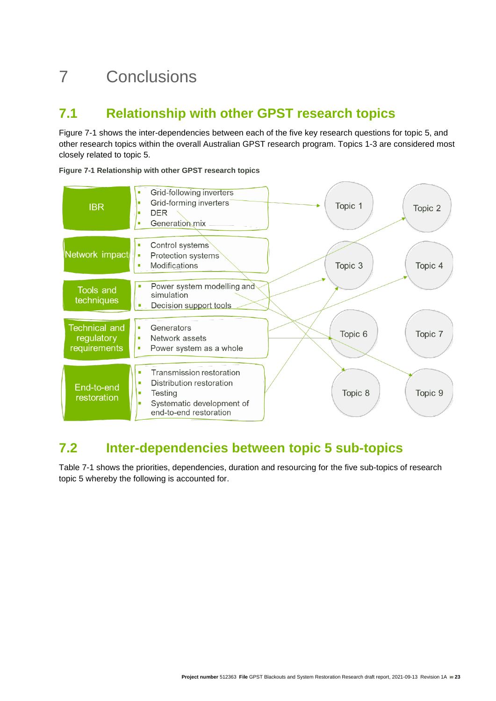# <span id="page-26-0"></span>7 Conclusions

# <span id="page-26-1"></span>**7.1 Relationship with other GPST research topics**

Figure 7-1 shows the inter-dependencies between each of the five key research questions for topic 5, and other research topics within the overall Australian GPST research program. Topics 1-3 are considered most closely related to topic 5.

<span id="page-26-3"></span>**Figure 7-1 Relationship with other GPST research topics**



# <span id="page-26-2"></span>**7.2 Inter-dependencies between topic 5 sub-topics**

Table 7-1 shows the priorities, dependencies, duration and resourcing for the five sub-topics of research topic 5 whereby the following is accounted for.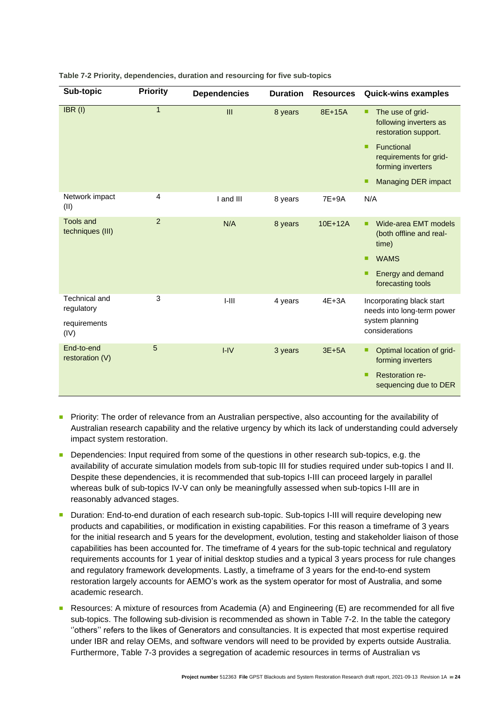| Sub-topic                                           | <b>Priority</b> | <b>Dependencies</b> | <b>Duration</b> | <b>Resources</b> | <b>Quick-wins examples</b>                                                                                                              |
|-----------------------------------------------------|-----------------|---------------------|-----------------|------------------|-----------------------------------------------------------------------------------------------------------------------------------------|
| $IBR$ (I)                                           | 1               | III                 | 8 years         | 8E+15A           | The use of grid-<br>۰<br>following inverters as<br>restoration support.                                                                 |
|                                                     |                 |                     |                 |                  | Functional<br>٠<br>requirements for grid-<br>forming inverters                                                                          |
|                                                     |                 |                     |                 |                  | <b>Managing DER impact</b><br>■                                                                                                         |
| Network impact<br>(II)                              | $\overline{4}$  | I and III           | 8 years         | $7E+9A$          | N/A                                                                                                                                     |
| <b>Tools and</b><br>techniques (III)                | 2               | N/A                 | 8 years         | 10E+12A          | <b>Wide-area EMT models</b><br>٠<br>(both offline and real-<br>time)<br><b>WAMS</b><br>п<br>Energy and demand<br>■<br>forecasting tools |
| Technical and<br>regulatory<br>requirements<br>(IV) | 3               | $I-III$             | 4 years         | $4E+3A$          | Incorporating black start<br>needs into long-term power<br>system planning<br>considerations                                            |
| End-to-end<br>restoration (V)                       | 5               | $I-IV$              | 3 years         | $3E+5A$          | Optimal location of grid-<br>۰<br>forming inverters<br><b>Restoration re-</b><br>٠<br>sequencing due to DER                             |

#### <span id="page-27-0"></span>**Table 7-2 Priority, dependencies, duration and resourcing for five sub-topics**

- Priority: The order of relevance from an Australian perspective, also accounting for the availability of Australian research capability and the relative urgency by which its lack of understanding could adversely impact system restoration.
- Dependencies: Input required from some of the questions in other research sub-topics, e.g. the availability of accurate simulation models from sub-topic III for studies required under sub-topics I and II. Despite these dependencies, it is recommended that sub-topics I-III can proceed largely in parallel whereas bulk of sub-topics IV-V can only be meaningfully assessed when sub-topics I-III are in reasonably advanced stages.
- Duration: End-to-end duration of each research sub-topic. Sub-topics I-III will require developing new products and capabilities, or modification in existing capabilities. For this reason a timeframe of 3 years for the initial research and 5 years for the development, evolution, testing and stakeholder liaison of those capabilities has been accounted for. The timeframe of 4 years for the sub-topic technical and regulatory requirements accounts for 1 year of initial desktop studies and a typical 3 years process for rule changes and regulatory framework developments. Lastly, a timeframe of 3 years for the end-to-end system restoration largely accounts for AEMO's work as the system operator for most of Australia, and some academic research.
- Resources: A mixture of resources from Academia (A) and Engineering (E) are recommended for all five sub-topics. The following sub-division is recommended as shown in Table 7-2. In the table the category "others" refers to the likes of Generators and consultancies. It is expected that most expertise required under IBR and relay OEMs, and software vendors will need to be provided by experts outside Australia. Furthermore, Table 7-3 provides a segregation of academic resources in terms of Australian vs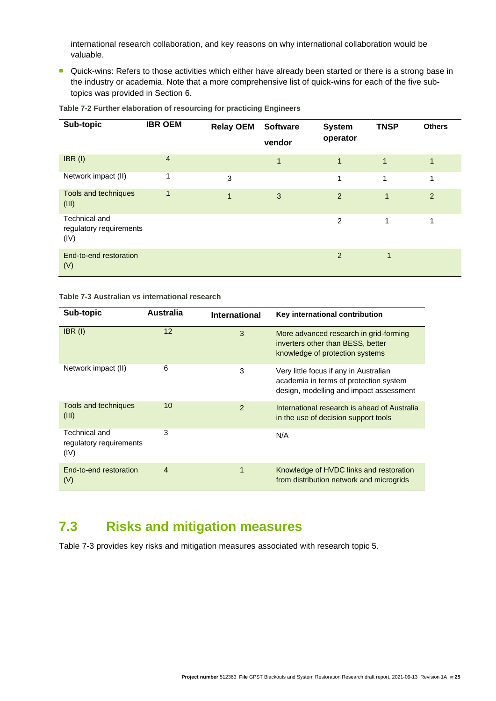international research collaboration, and key reasons on why international collaboration would be valuable.

■ Quick-wins: Refers to those activities which either have already been started or there is a strong base in the industry or academia. Note that a more comprehensive list of quick-wins for each of the five subtopics was provided in Section 6.

| Sub-topic                                        | <b>IBR OEM</b> | <b>Relay OEM</b> | <b>Software</b><br>vendor | <b>System</b><br>operator | <b>TNSP</b>    | <b>Others</b> |
|--------------------------------------------------|----------------|------------------|---------------------------|---------------------------|----------------|---------------|
| $IBR$ (I)                                        | 4              |                  | $\overline{1}$            | $\mathbf{1}$              | $\overline{1}$ |               |
| Network impact (II)                              | 1              | 3                |                           | 1                         | 1              |               |
| Tools and techniques<br>(III)                    | 1              | 1                | 3                         | 2                         | 1              | 2             |
| Technical and<br>regulatory requirements<br>(IV) |                |                  |                           | 2                         | 1              | ◢             |
| End-to-end restoration<br>(V)                    |                |                  |                           | 2                         | 1              |               |

**Table 7-2 Further elaboration of resourcing for practicing Engineers**

#### **Table 7-3 Australian vs international research**

| Sub-topic                                        | Australia | <b>International</b> | Key international contribution                                                                                              |
|--------------------------------------------------|-----------|----------------------|-----------------------------------------------------------------------------------------------------------------------------|
| $IBR$ (I)                                        | 12        | 3                    | More advanced research in grid-forming<br>inverters other than BESS, better<br>knowledge of protection systems              |
| Network impact (II)                              | 6         | 3                    | Very little focus if any in Australian<br>academia in terms of protection system<br>design, modelling and impact assessment |
| Tools and techniques<br>(III)                    | 10        | 2                    | International research is ahead of Australia<br>in the use of decision support tools                                        |
| Technical and<br>regulatory requirements<br>(IV) | 3         |                      | N/A                                                                                                                         |
| End-to-end restoration<br>(V)                    | 4         | $\mathbf{1}$         | Knowledge of HVDC links and restoration<br>from distribution network and microgrids                                         |

# <span id="page-28-0"></span>**7.3 Risks and mitigation measures**

Table 7-3 provides key risks and mitigation measures associated with research topic 5.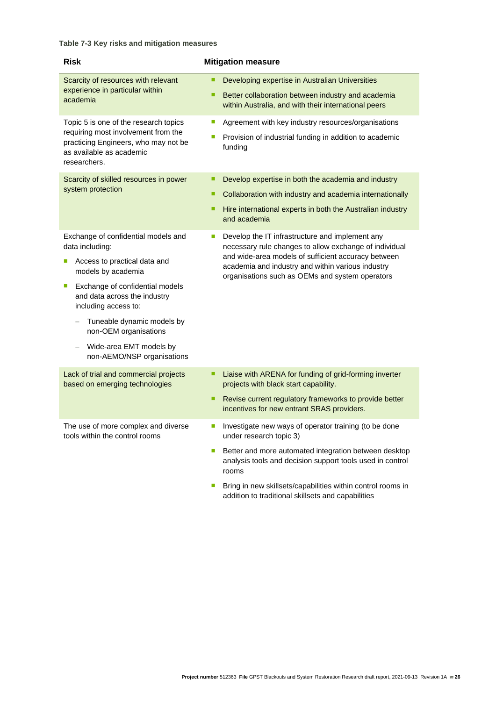| <b>Risk</b>                                                                                                                                                                                                                                                                                                                       | <b>Mitigation measure</b>                                                                                                                                                                                                                                                                                                            |
|-----------------------------------------------------------------------------------------------------------------------------------------------------------------------------------------------------------------------------------------------------------------------------------------------------------------------------------|--------------------------------------------------------------------------------------------------------------------------------------------------------------------------------------------------------------------------------------------------------------------------------------------------------------------------------------|
| Scarcity of resources with relevant<br>experience in particular within<br>academia                                                                                                                                                                                                                                                | Developing expertise in Australian Universities<br>Better collaboration between industry and academia<br>٠<br>within Australia, and with their international peers                                                                                                                                                                   |
| Topic 5 is one of the research topics<br>requiring most involvement from the<br>practicing Engineers, who may not be<br>as available as academic<br>researchers.                                                                                                                                                                  | Agreement with key industry resources/organisations<br>T.<br>Provision of industrial funding in addition to academic<br>T.<br>funding                                                                                                                                                                                                |
| Scarcity of skilled resources in power<br>system protection                                                                                                                                                                                                                                                                       | Develop expertise in both the academia and industry<br>٠<br>Collaboration with industry and academia internationally<br>٠<br>Hire international experts in both the Australian industry<br>п<br>and academia                                                                                                                         |
| Exchange of confidential models and<br>data including:<br>Access to practical data and<br>π<br>models by academia<br>Exchange of confidential models<br>П<br>and data across the industry<br>including access to:<br>Tuneable dynamic models by<br>non-OEM organisations<br>Wide-area EMT models by<br>non-AEMO/NSP organisations | Develop the IT infrastructure and implement any<br>T.<br>necessary rule changes to allow exchange of individual<br>and wide-area models of sufficient accuracy between<br>academia and industry and within various industry<br>organisations such as OEMs and system operators                                                       |
| Lack of trial and commercial projects<br>based on emerging technologies                                                                                                                                                                                                                                                           | Liaise with ARENA for funding of grid-forming inverter<br>п<br>projects with black start capability.<br>Revise current regulatory frameworks to provide better<br>٠<br>incentives for new entrant SRAS providers.                                                                                                                    |
| The use of more complex and diverse<br>tools within the control rooms                                                                                                                                                                                                                                                             | Investigate new ways of operator training (to be done<br>under research topic 3)<br>Better and more automated integration between desktop<br>analysis tools and decision support tools used in control<br>rooms<br>Bring in new skillsets/capabilities within control rooms in<br>addition to traditional skillsets and capabilities |